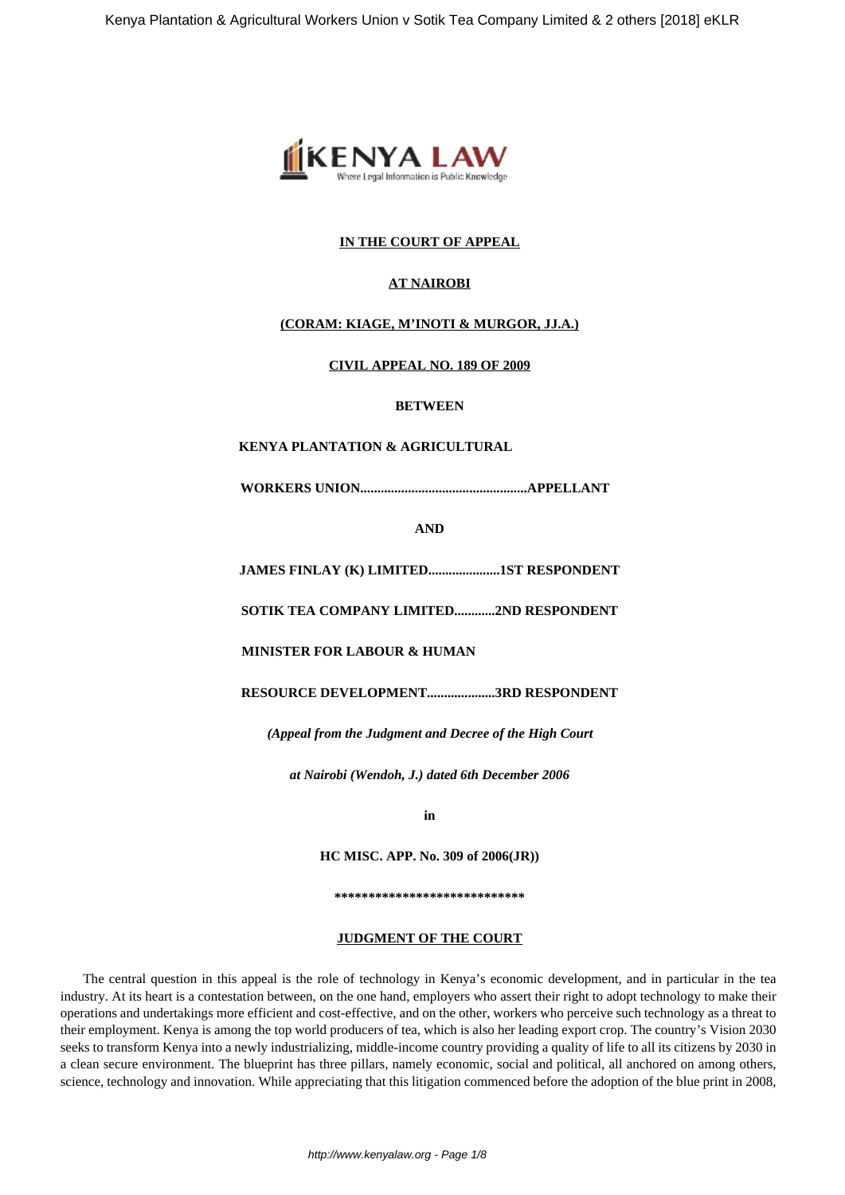

# **IN THE COURT OF APPEAL**

## **AT NAIROBI**

# **(CORAM: KIAGE, M'INOTI & MURGOR, JJ.A.)**

## **CIVIL APPEAL NO. 189 OF 2009**

#### **BETWEEN**

# **KENYA PLANTATION & AGRICULTURAL**

**WORKERS UNION.................................................APPELLANT**

**AND**

**JAMES FINLAY (K) LIMITED.....................1ST RESPONDENT**

**SOTIK TEA COMPANY LIMITED............2ND RESPONDENT**

**MINISTER FOR LABOUR & HUMAN**

**RESOURCE DEVELOPMENT....................3RD RESPONDENT**

*(Appeal from the Judgment and Decree of the High Court*

*at Nairobi (Wendoh, J.) dated 6th December 2006*

**in**

**HC MISC. APP. No. 309 of 2006(JR))**

**\*\*\*\*\*\*\*\*\*\*\*\*\*\*\*\*\*\*\*\*\*\*\*\*\*\*\*\***

#### **JUDGMENT OF THE COURT**

The central question in this appeal is the role of technology in Kenya's economic development, and in particular in the tea industry. At its heart is a contestation between, on the one hand, employers who assert their right to adopt technology to make their operations and undertakings more efficient and cost-effective, and on the other, workers who perceive such technology as a threat to their employment. Kenya is among the top world producers of tea, which is also her leading export crop. The country's Vision 2030 seeks to transform Kenya into a newly industrializing, middle-income country providing a quality of life to all its citizens by 2030 in a clean secure environment. The blueprint has three pillars, namely economic, social and political, all anchored on among others, science, technology and innovation. While appreciating that this litigation commenced before the adoption of the blue print in 2008,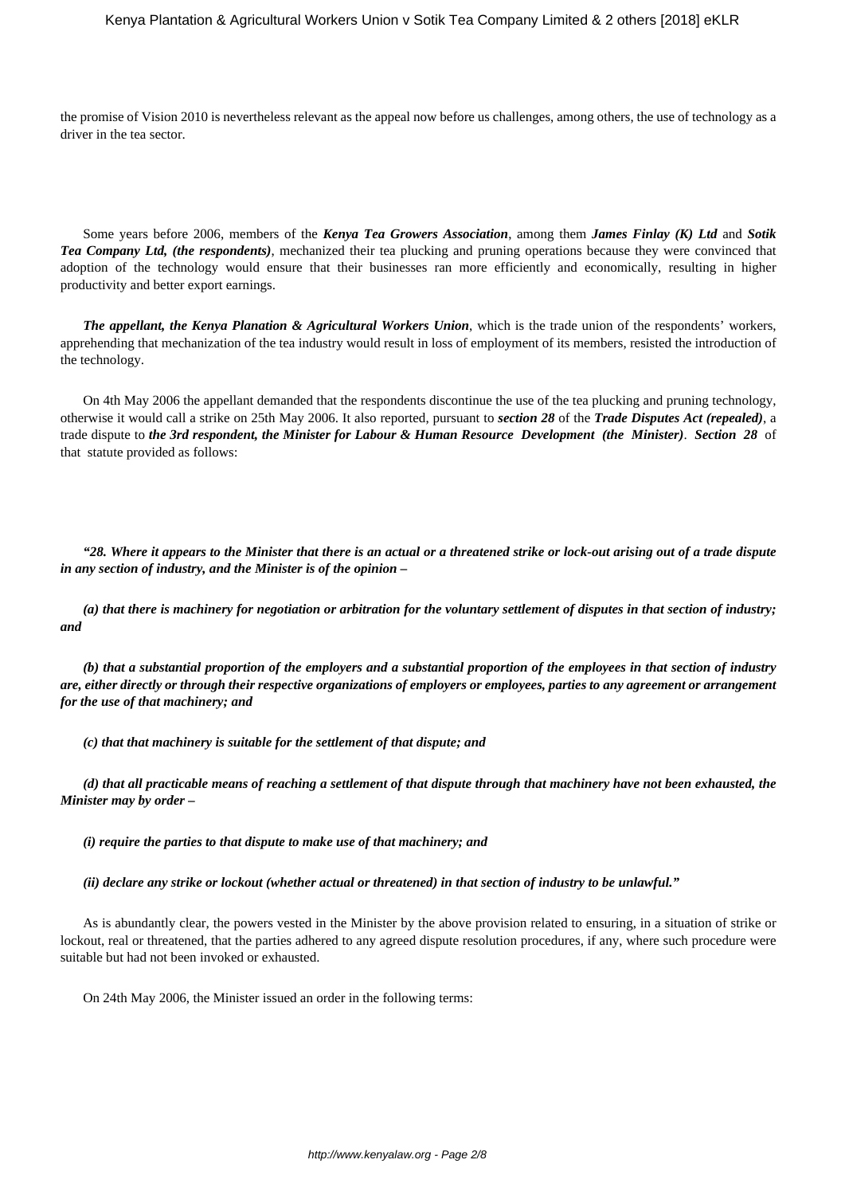the promise of Vision 2010 is nevertheless relevant as the appeal now before us challenges, among others, the use of technology as a driver in the tea sector.

Some years before 2006, members of the *Kenya Tea Growers Association*, among them *James Finlay (K) Ltd* and *Sotik Tea Company Ltd, (the respondents)*, mechanized their tea plucking and pruning operations because they were convinced that adoption of the technology would ensure that their businesses ran more efficiently and economically, resulting in higher productivity and better export earnings.

*The appellant, the Kenya Planation & Agricultural Workers Union*, which is the trade union of the respondents' workers, apprehending that mechanization of the tea industry would result in loss of employment of its members, resisted the introduction of the technology.

On 4th May 2006 the appellant demanded that the respondents discontinue the use of the tea plucking and pruning technology, otherwise it would call a strike on 25th May 2006. It also reported, pursuant to *section 28* of the *Trade Disputes Act (repealed)*, a trade dispute to *the 3rd respondent, the Minister for Labour & Human Resource Development (the Minister)*. *Section 28* of that statute provided as follows:

*"28. Where it appears to the Minister that there is an actual or a threatened strike or lock-out arising out of a trade dispute in any section of industry, and the Minister is of the opinion –*

*(a) that there is machinery for negotiation or arbitration for the voluntary settlement of disputes in that section of industry; and*

*(b) that a substantial proportion of the employers and a substantial proportion of the employees in that section of industry are, either directly or through their respective organizations of employers or employees, parties to any agreement or arrangement for the use of that machinery; and*

*(c) that that machinery is suitable for the settlement of that dispute; and*

*(d) that all practicable means of reaching a settlement of that dispute through that machinery have not been exhausted, the Minister may by order –*

*(i) require the parties to that dispute to make use of that machinery; and*

*(ii) declare any strike or lockout (whether actual or threatened) in that section of industry to be unlawful."*

As is abundantly clear, the powers vested in the Minister by the above provision related to ensuring, in a situation of strike or lockout, real or threatened, that the parties adhered to any agreed dispute resolution procedures, if any, where such procedure were suitable but had not been invoked or exhausted.

On 24th May 2006, the Minister issued an order in the following terms: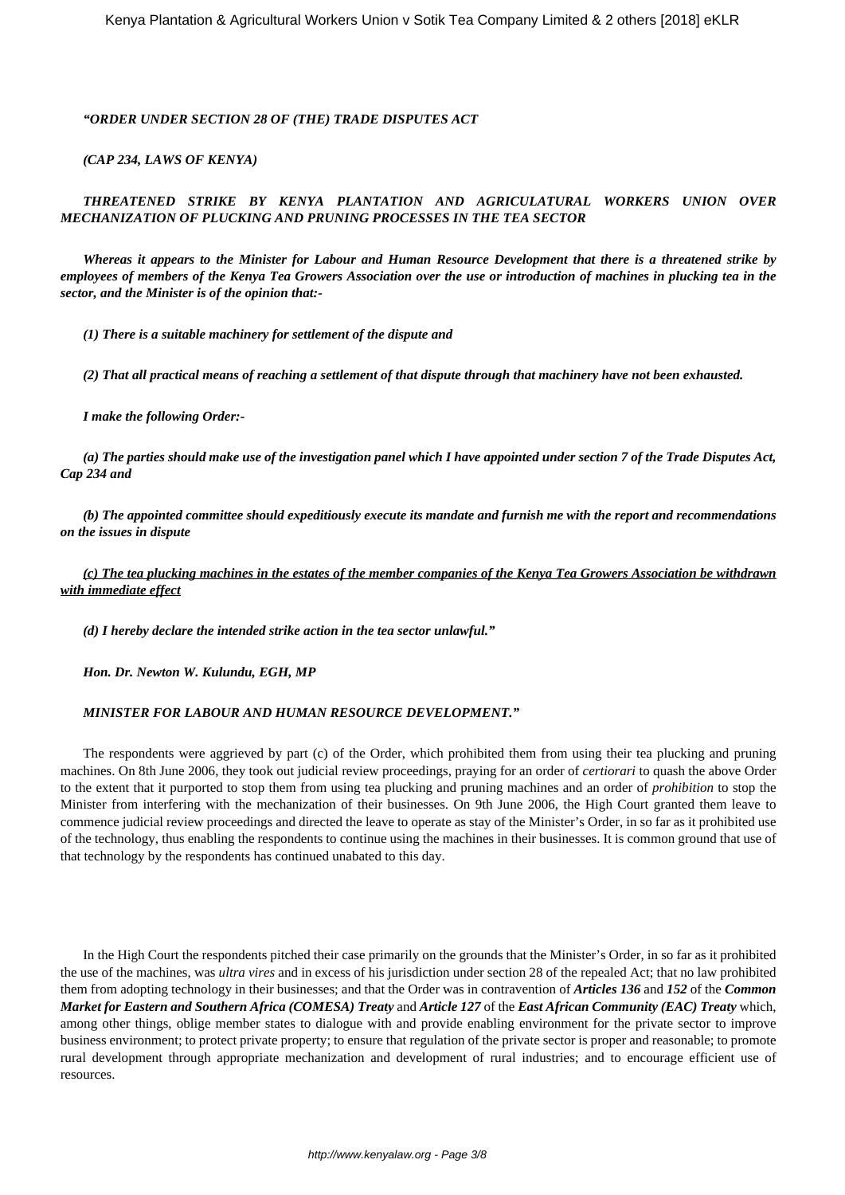## *"ORDER UNDER SECTION 28 OF (THE) TRADE DISPUTES ACT*

## *(CAP 234, LAWS OF KENYA)*

# *THREATENED STRIKE BY KENYA PLANTATION AND AGRICULATURAL WORKERS UNION OVER MECHANIZATION OF PLUCKING AND PRUNING PROCESSES IN THE TEA SECTOR*

*Whereas it appears to the Minister for Labour and Human Resource Development that there is a threatened strike by employees of members of the Kenya Tea Growers Association over the use or introduction of machines in plucking tea in the sector, and the Minister is of the opinion that:-*

*(1) There is a suitable machinery for settlement of the dispute and*

*(2) That all practical means of reaching a settlement of that dispute through that machinery have not been exhausted.*

*I make the following Order:-*

*(a) The parties should make use of the investigation panel which I have appointed under section 7 of the Trade Disputes Act, Cap 234 and*

*(b) The appointed committee should expeditiously execute its mandate and furnish me with the report and recommendations on the issues in dispute*

*(c) The tea plucking machines in the estates of the member companies of the Kenya Tea Growers Association be withdrawn with immediate effect*

*(d) I hereby declare the intended strike action in the tea sector unlawful."*

*Hon. Dr. Newton W. Kulundu, EGH, MP*

## *MINISTER FOR LABOUR AND HUMAN RESOURCE DEVELOPMENT."*

The respondents were aggrieved by part (c) of the Order, which prohibited them from using their tea plucking and pruning machines. On 8th June 2006, they took out judicial review proceedings, praying for an order of *certiorari* to quash the above Order to the extent that it purported to stop them from using tea plucking and pruning machines and an order of *prohibition* to stop the Minister from interfering with the mechanization of their businesses. On 9th June 2006, the High Court granted them leave to commence judicial review proceedings and directed the leave to operate as stay of the Minister's Order, in so far as it prohibited use of the technology, thus enabling the respondents to continue using the machines in their businesses. It is common ground that use of that technology by the respondents has continued unabated to this day.

In the High Court the respondents pitched their case primarily on the grounds that the Minister's Order, in so far as it prohibited the use of the machines, was *ultra vires* and in excess of his jurisdiction under section 28 of the repealed Act; that no law prohibited them from adopting technology in their businesses; and that the Order was in contravention of *Articles 136* and *152* of the *Common Market for Eastern and Southern Africa (COMESA) Treaty* and *Article 127* of the *East African Community (EAC) Treaty* which, among other things, oblige member states to dialogue with and provide enabling environment for the private sector to improve business environment; to protect private property; to ensure that regulation of the private sector is proper and reasonable; to promote rural development through appropriate mechanization and development of rural industries; and to encourage efficient use of resources.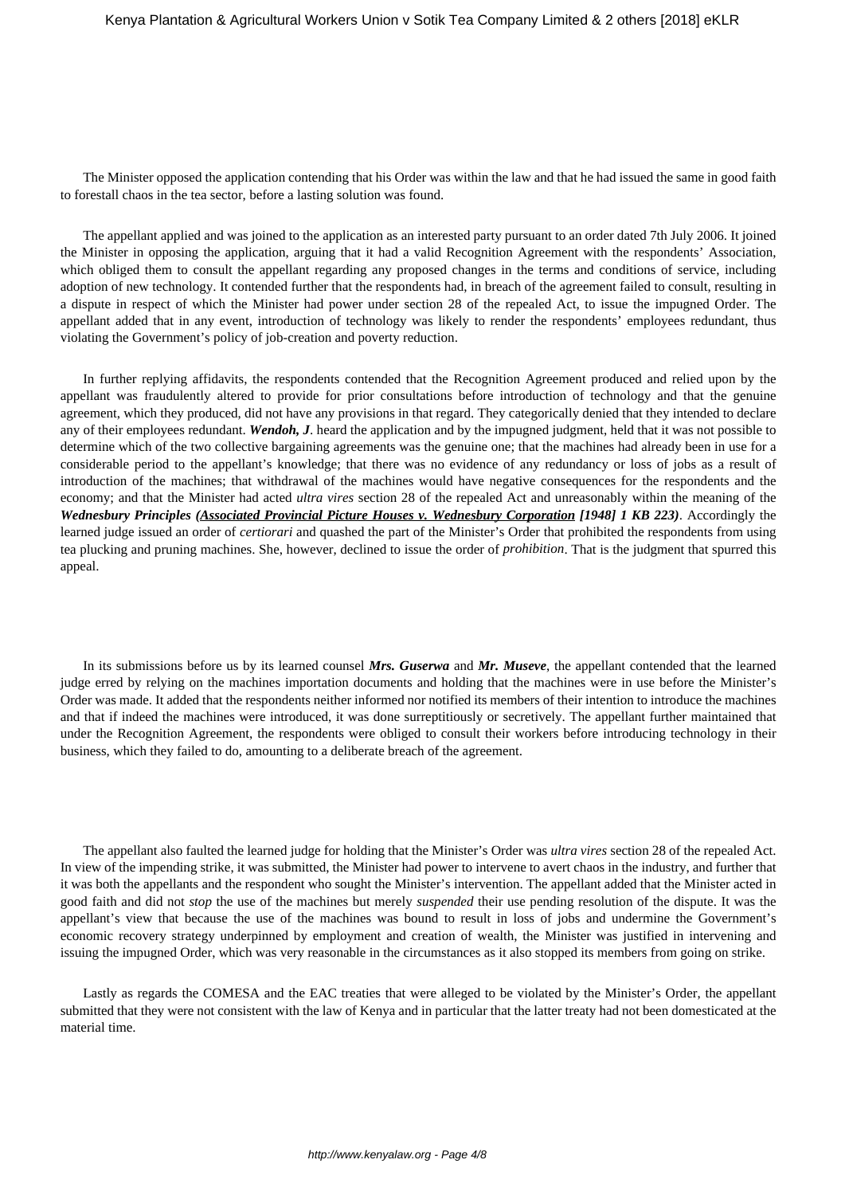The Minister opposed the application contending that his Order was within the law and that he had issued the same in good faith to forestall chaos in the tea sector, before a lasting solution was found.

The appellant applied and was joined to the application as an interested party pursuant to an order dated 7th July 2006. It joined the Minister in opposing the application, arguing that it had a valid Recognition Agreement with the respondents' Association, which obliged them to consult the appellant regarding any proposed changes in the terms and conditions of service, including adoption of new technology. It contended further that the respondents had, in breach of the agreement failed to consult, resulting in a dispute in respect of which the Minister had power under section 28 of the repealed Act, to issue the impugned Order. The appellant added that in any event, introduction of technology was likely to render the respondents' employees redundant, thus violating the Government's policy of job-creation and poverty reduction.

In further replying affidavits, the respondents contended that the Recognition Agreement produced and relied upon by the appellant was fraudulently altered to provide for prior consultations before introduction of technology and that the genuine agreement, which they produced, did not have any provisions in that regard. They categorically denied that they intended to declare any of their employees redundant. *Wendoh, J*. heard the application and by the impugned judgment, held that it was not possible to determine which of the two collective bargaining agreements was the genuine one; that the machines had already been in use for a considerable period to the appellant's knowledge; that there was no evidence of any redundancy or loss of jobs as a result of introduction of the machines; that withdrawal of the machines would have negative consequences for the respondents and the economy; and that the Minister had acted *ultra vires* section 28 of the repealed Act and unreasonably within the meaning of the *Wednesbury Principles (Associated Provincial Picture Houses v. Wednesbury Corporation [1948] 1 KB 223)*. Accordingly the learned judge issued an order of *certiorari* and quashed the part of the Minister's Order that prohibited the respondents from using tea plucking and pruning machines. She, however, declined to issue the order of *prohibition*. That is the judgment that spurred this appeal.

In its submissions before us by its learned counsel *Mrs. Guserwa* and *Mr. Museve*, the appellant contended that the learned judge erred by relying on the machines importation documents and holding that the machines were in use before the Minister's Order was made. It added that the respondents neither informed nor notified its members of their intention to introduce the machines and that if indeed the machines were introduced, it was done surreptitiously or secretively. The appellant further maintained that under the Recognition Agreement, the respondents were obliged to consult their workers before introducing technology in their business, which they failed to do, amounting to a deliberate breach of the agreement.

The appellant also faulted the learned judge for holding that the Minister's Order was *ultra vires* section 28 of the repealed Act. In view of the impending strike, it was submitted, the Minister had power to intervene to avert chaos in the industry, and further that it was both the appellants and the respondent who sought the Minister's intervention. The appellant added that the Minister acted in good faith and did not *stop* the use of the machines but merely *suspended* their use pending resolution of the dispute. It was the appellant's view that because the use of the machines was bound to result in loss of jobs and undermine the Government's economic recovery strategy underpinned by employment and creation of wealth, the Minister was justified in intervening and issuing the impugned Order, which was very reasonable in the circumstances as it also stopped its members from going on strike.

Lastly as regards the COMESA and the EAC treaties that were alleged to be violated by the Minister's Order, the appellant submitted that they were not consistent with the law of Kenya and in particular that the latter treaty had not been domesticated at the material time.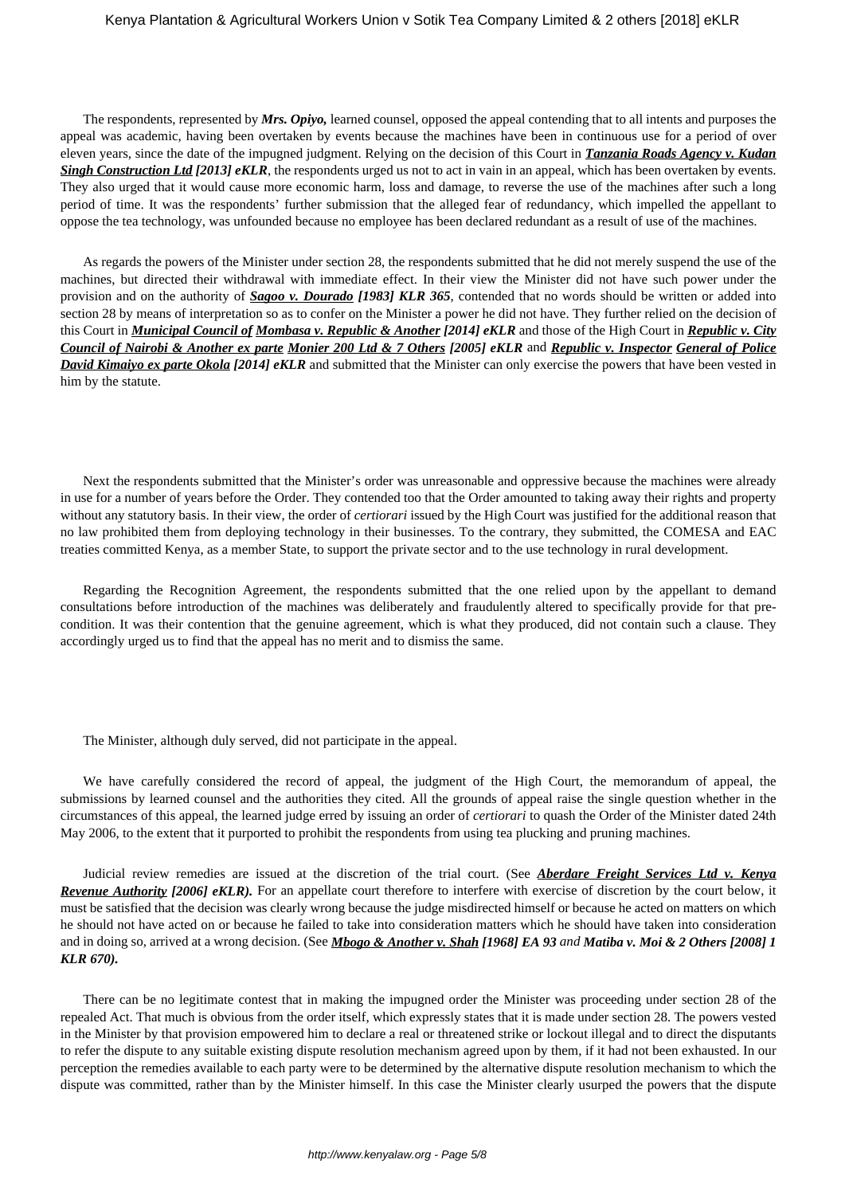The respondents, represented by *Mrs. Opiyo,* learned counsel, opposed the appeal contending that to all intents and purposes the appeal was academic, having been overtaken by events because the machines have been in continuous use for a period of over eleven years, since the date of the impugned judgment. Relying on the decision of this Court in *Tanzania Roads Agency v. Kudan Singh Construction Ltd [2013] eKLR*, the respondents urged us not to act in vain in an appeal, which has been overtaken by events. They also urged that it would cause more economic harm, loss and damage, to reverse the use of the machines after such a long period of time. It was the respondents' further submission that the alleged fear of redundancy, which impelled the appellant to oppose the tea technology, was unfounded because no employee has been declared redundant as a result of use of the machines.

As regards the powers of the Minister under section 28, the respondents submitted that he did not merely suspend the use of the machines, but directed their withdrawal with immediate effect. In their view the Minister did not have such power under the provision and on the authority of *Sagoo v. Dourado [1983] KLR 365*, contended that no words should be written or added into section 28 by means of interpretation so as to confer on the Minister a power he did not have. They further relied on the decision of this Court in *Municipal Council of Mombasa v. Republic & Another [2014] eKLR* and those of the High Court in *Republic v. City Council of Nairobi & Another ex parte Monier 200 Ltd & 7 Others [2005] eKLR* and *Republic v. Inspector General of Police David Kimaiyo ex parte Okola [2014] eKLR* and submitted that the Minister can only exercise the powers that have been vested in him by the statute.

Next the respondents submitted that the Minister's order was unreasonable and oppressive because the machines were already in use for a number of years before the Order. They contended too that the Order amounted to taking away their rights and property without any statutory basis. In their view, the order of *certiorari* issued by the High Court was justified for the additional reason that no law prohibited them from deploying technology in their businesses. To the contrary, they submitted, the COMESA and EAC treaties committed Kenya, as a member State, to support the private sector and to the use technology in rural development.

Regarding the Recognition Agreement, the respondents submitted that the one relied upon by the appellant to demand consultations before introduction of the machines was deliberately and fraudulently altered to specifically provide for that precondition. It was their contention that the genuine agreement, which is what they produced, did not contain such a clause. They accordingly urged us to find that the appeal has no merit and to dismiss the same.

The Minister, although duly served, did not participate in the appeal.

We have carefully considered the record of appeal, the judgment of the High Court, the memorandum of appeal, the submissions by learned counsel and the authorities they cited. All the grounds of appeal raise the single question whether in the circumstances of this appeal, the learned judge erred by issuing an order of *certiorari* to quash the Order of the Minister dated 24th May 2006, to the extent that it purported to prohibit the respondents from using tea plucking and pruning machines.

Judicial review remedies are issued at the discretion of the trial court. (See *Aberdare Freight Services Ltd v. Kenya Revenue Authority [2006] eKLR*). For an appellate court therefore to interfere with exercise of discretion by the court below, it must be satisfied that the decision was clearly wrong because the judge misdirected himself or because he acted on matters on which he should not have acted on or because he failed to take into consideration matters which he should have taken into consideration and in doing so, arrived at a wrong decision. (See *Mbogo & Another v. Shah [1968] EA 93 and Matiba v. Moi & 2 Others [2008] 1 KLR 670).*

There can be no legitimate contest that in making the impugned order the Minister was proceeding under section 28 of the repealed Act. That much is obvious from the order itself, which expressly states that it is made under section 28. The powers vested in the Minister by that provision empowered him to declare a real or threatened strike or lockout illegal and to direct the disputants to refer the dispute to any suitable existing dispute resolution mechanism agreed upon by them, if it had not been exhausted. In our perception the remedies available to each party were to be determined by the alternative dispute resolution mechanism to which the dispute was committed, rather than by the Minister himself. In this case the Minister clearly usurped the powers that the dispute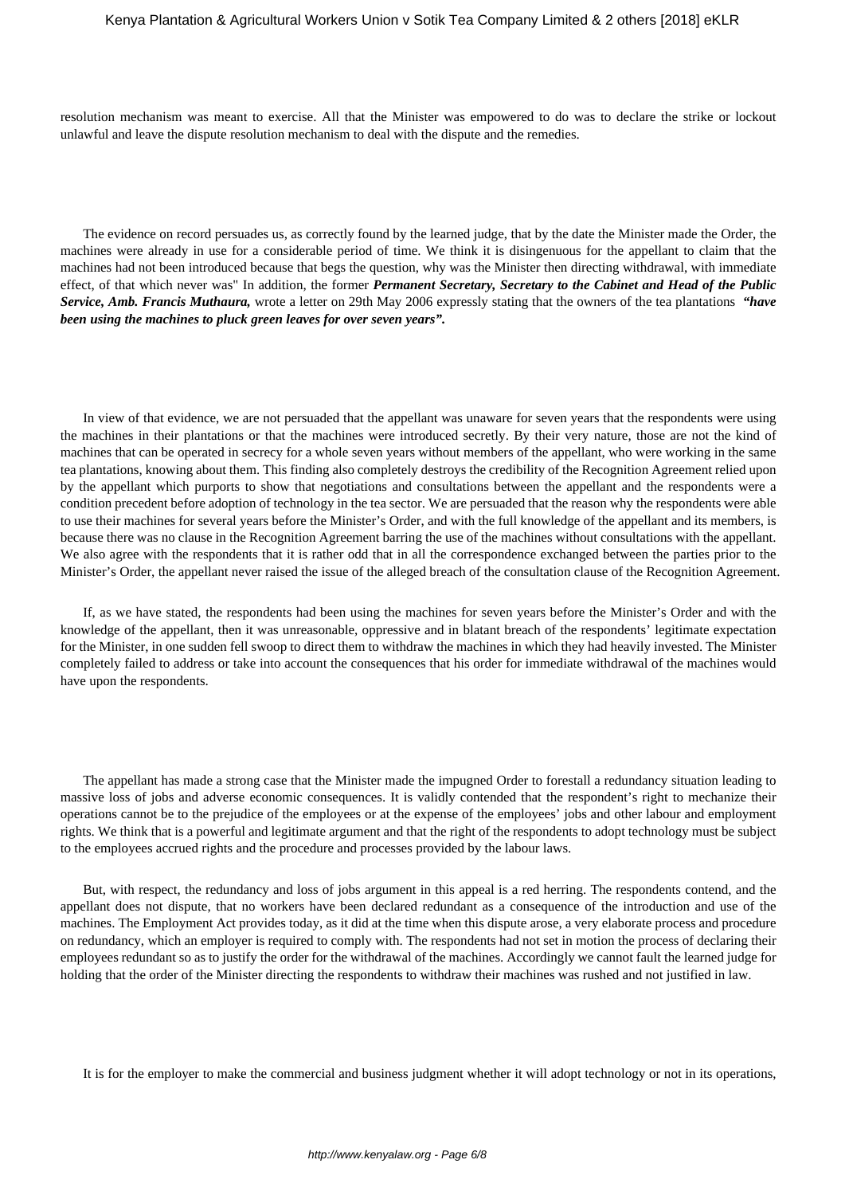resolution mechanism was meant to exercise. All that the Minister was empowered to do was to declare the strike or lockout unlawful and leave the dispute resolution mechanism to deal with the dispute and the remedies.

The evidence on record persuades us, as correctly found by the learned judge, that by the date the Minister made the Order, the machines were already in use for a considerable period of time. We think it is disingenuous for the appellant to claim that the machines had not been introduced because that begs the question, why was the Minister then directing withdrawal, with immediate effect, of that which never was" In addition, the former *Permanent Secretary, Secretary to the Cabinet and Head of the Public Service, Amb. Francis Muthaura,* wrote a letter on 29th May 2006 expressly stating that the owners of the tea plantations *"have been using the machines to pluck green leaves for over seven years".*

In view of that evidence, we are not persuaded that the appellant was unaware for seven years that the respondents were using the machines in their plantations or that the machines were introduced secretly. By their very nature, those are not the kind of machines that can be operated in secrecy for a whole seven years without members of the appellant, who were working in the same tea plantations, knowing about them. This finding also completely destroys the credibility of the Recognition Agreement relied upon by the appellant which purports to show that negotiations and consultations between the appellant and the respondents were a condition precedent before adoption of technology in the tea sector. We are persuaded that the reason why the respondents were able to use their machines for several years before the Minister's Order, and with the full knowledge of the appellant and its members, is because there was no clause in the Recognition Agreement barring the use of the machines without consultations with the appellant. We also agree with the respondents that it is rather odd that in all the correspondence exchanged between the parties prior to the Minister's Order, the appellant never raised the issue of the alleged breach of the consultation clause of the Recognition Agreement.

If, as we have stated, the respondents had been using the machines for seven years before the Minister's Order and with the knowledge of the appellant, then it was unreasonable, oppressive and in blatant breach of the respondents' legitimate expectation for the Minister, in one sudden fell swoop to direct them to withdraw the machines in which they had heavily invested. The Minister completely failed to address or take into account the consequences that his order for immediate withdrawal of the machines would have upon the respondents.

The appellant has made a strong case that the Minister made the impugned Order to forestall a redundancy situation leading to massive loss of jobs and adverse economic consequences. It is validly contended that the respondent's right to mechanize their operations cannot be to the prejudice of the employees or at the expense of the employees' jobs and other labour and employment rights. We think that is a powerful and legitimate argument and that the right of the respondents to adopt technology must be subject to the employees accrued rights and the procedure and processes provided by the labour laws.

But, with respect, the redundancy and loss of jobs argument in this appeal is a red herring. The respondents contend, and the appellant does not dispute, that no workers have been declared redundant as a consequence of the introduction and use of the machines. The Employment Act provides today, as it did at the time when this dispute arose, a very elaborate process and procedure on redundancy, which an employer is required to comply with. The respondents had not set in motion the process of declaring their employees redundant so as to justify the order for the withdrawal of the machines. Accordingly we cannot fault the learned judge for holding that the order of the Minister directing the respondents to withdraw their machines was rushed and not justified in law.

It is for the employer to make the commercial and business judgment whether it will adopt technology or not in its operations,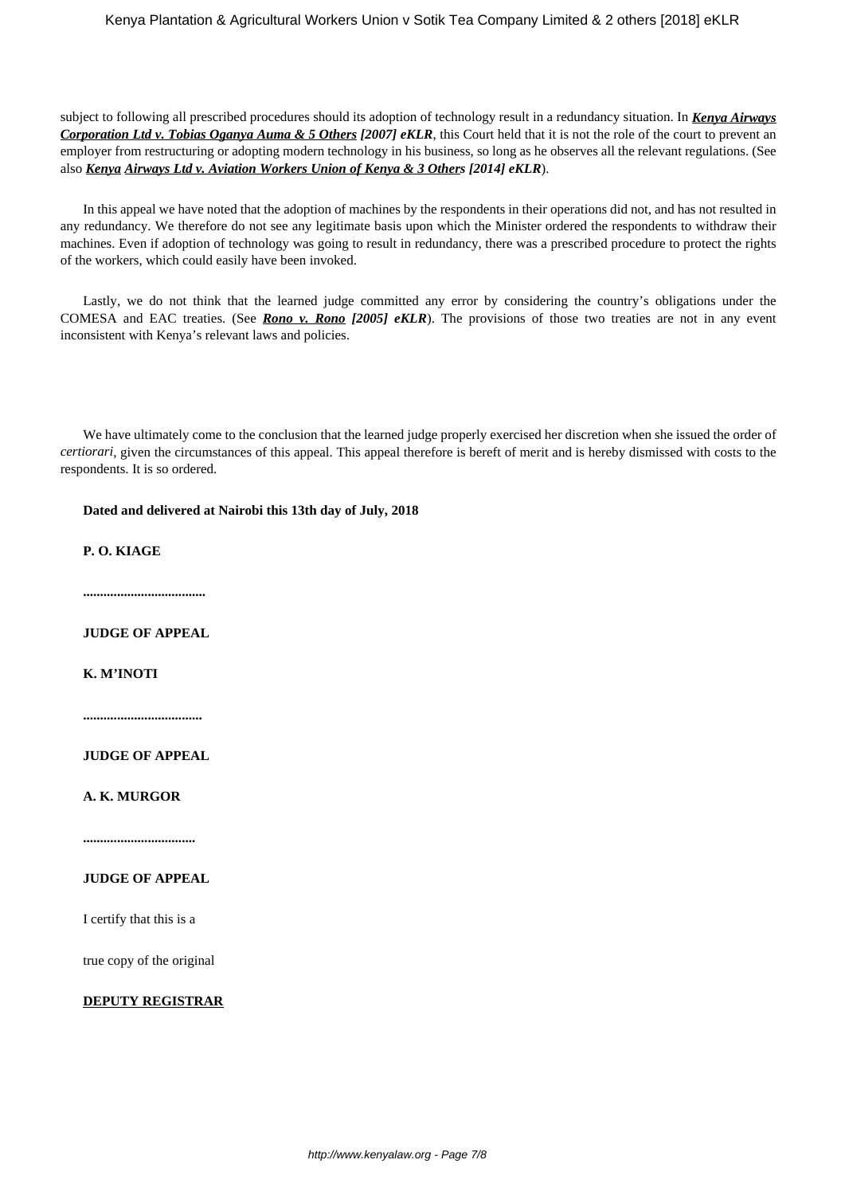subject to following all prescribed procedures should its adoption of technology result in a redundancy situation. In *Kenya Airways Corporation Ltd v. Tobias Oganya Auma & 5 Others [2007] eKLR*, this Court held that it is not the role of the court to prevent an employer from restructuring or adopting modern technology in his business, so long as he observes all the relevant regulations. (See also *Kenya Airways Ltd v. Aviation Workers Union of Kenya & 3 Others [2014] eKLR*).

In this appeal we have noted that the adoption of machines by the respondents in their operations did not, and has not resulted in any redundancy. We therefore do not see any legitimate basis upon which the Minister ordered the respondents to withdraw their machines. Even if adoption of technology was going to result in redundancy, there was a prescribed procedure to protect the rights of the workers, which could easily have been invoked.

Lastly, we do not think that the learned judge committed any error by considering the country's obligations under the COMESA and EAC treaties. (See *Rono v. Rono [2005] eKLR*). The provisions of those two treaties are not in any event inconsistent with Kenya's relevant laws and policies.

We have ultimately come to the conclusion that the learned judge properly exercised her discretion when she issued the order of *certiorari*, given the circumstances of this appeal. This appeal therefore is bereft of merit and is hereby dismissed with costs to the respondents. It is so ordered.

**Dated and delivered at Nairobi this 13th day of July, 2018**

**P. O. KIAGE**

**....................................**

**JUDGE OF APPEAL**

**K. M'INOTI**

**...................................**

**JUDGE OF APPEAL**

**A. K. MURGOR**

**.................................**

# **JUDGE OF APPEAL**

I certify that this is a

true copy of the original

## **DEPUTY REGISTRAR**